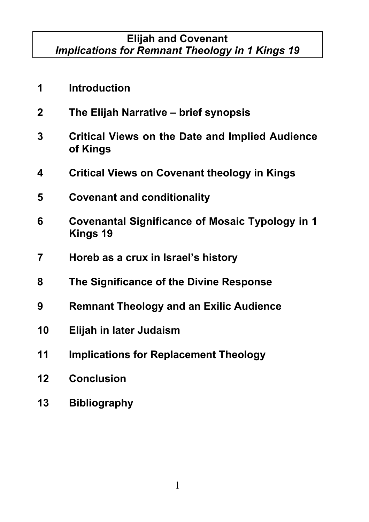### **Elijah and Covenant** *Implications for Remnant Theology in 1 Kings 19*

- **Introduction The Elijah Narrative – brief synopsis Critical Views on the Date and Implied Audience of Kings Critical Views on Covenant theology in Kings Covenant and conditionality Covenantal Significance of Mosaic Typology in 1 Kings 19 Horeb as a crux in Israel's history The Significance of the Divine Response Remnant Theology and an Exilic Audience Elijah in later Judaism Implications for Replacement Theology Conclusion**
- **Bibliography**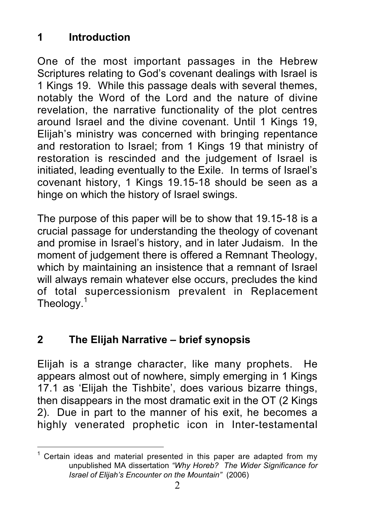# **1 Introduction**

One of the most important passages in the Hebrew Scriptures relating to God's covenant dealings with Israel is 1 Kings 19. While this passage deals with several themes, notably the Word of the Lord and the nature of divine revelation, the narrative functionality of the plot centres around Israel and the divine covenant. Until 1 Kings 19, Elijah's ministry was concerned with bringing repentance and restoration to Israel; from 1 Kings 19 that ministry of restoration is rescinded and the judgement of Israel is initiated, leading eventually to the Exile. In terms of Israel's covenant history, 1 Kings 19.15-18 should be seen as a hinge on which the history of Israel swings.

The purpose of this paper will be to show that 19.15-18 is a crucial passage for understanding the theology of covenant and promise in Israel's history, and in later Judaism. In the moment of judgement there is offered a Remnant Theology, which by maintaining an insistence that a remnant of Israel will always remain whatever else occurs, precludes the kind of total supercessionism prevalent in Replacement Theology.<sup>1</sup>

## **2 The Elijah Narrative – brief synopsis**

Elijah is a strange character, like many prophets. He appears almost out of nowhere, simply emerging in 1 Kings 17.1 as 'Elijah the Tishbite', does various bizarre things, then disappears in the most dramatic exit in the OT (2 Kings 2). Due in part to the manner of his exit, he becomes a highly venerated prophetic icon in Inter-testamental

 $1$  Certain ideas and material presented in this paper are adapted from my unpublished MA dissertation *"Why Horeb? The Wider Significance for Israel of Elijah's Encounter on the Mountain"* (2006)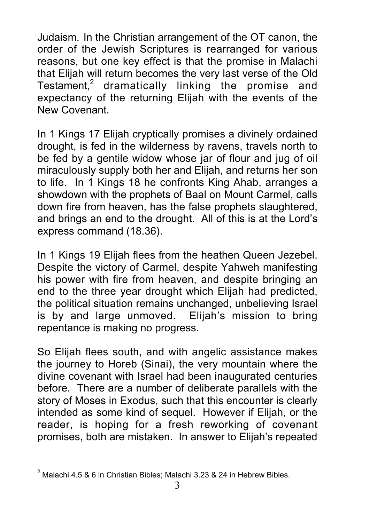Judaism. In the Christian arrangement of the OT canon, the order of the Jewish Scriptures is rearranged for various reasons, but one key effect is that the promise in Malachi that Elijah will return becomes the very last verse of the Old Testament, $2$  dramatically linking the promise and expectancy of the returning Elijah with the events of the New Covenant.

In 1 Kings 17 Elijah cryptically promises a divinely ordained drought, is fed in the wilderness by ravens, travels north to be fed by a gentile widow whose jar of flour and jug of oil miraculously supply both her and Elijah, and returns her son to life. In 1 Kings 18 he confronts King Ahab, arranges a showdown with the prophets of Baal on Mount Carmel, calls down fire from heaven, has the false prophets slaughtered, and brings an end to the drought. All of this is at the Lord's express command (18.36).

In 1 Kings 19 Elijah flees from the heathen Queen Jezebel. Despite the victory of Carmel, despite Yahweh manifesting his power with fire from heaven, and despite bringing an end to the three year drought which Elijah had predicted, the political situation remains unchanged, unbelieving Israel is by and large unmoved. Elijah's mission to bring repentance is making no progress.

So Elijah flees south, and with angelic assistance makes the journey to Horeb (Sinai), the very mountain where the divine covenant with Israel had been inaugurated centuries before. There are a number of deliberate parallels with the story of Moses in Exodus, such that this encounter is clearly intended as some kind of sequel. However if Elijah, or the reader, is hoping for a fresh reworking of covenant promises, both are mistaken. In answer to Elijah's repeated

 $\frac{1}{2}$  $2$  Malachi 4.5 & 6 in Christian Bibles; Malachi 3.23 & 24 in Hebrew Bibles.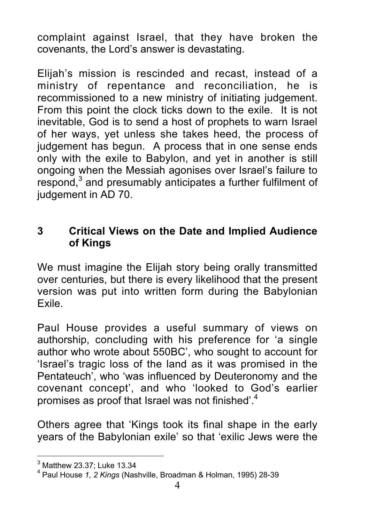complaint against Israel, that they have broken the covenants, the Lord's answer is devastating.

Elijah's mission is rescinded and recast, instead of a ministry of repentance and reconciliation, he is recommissioned to a new ministry of initiating judgement. From this point the clock ticks down to the exile. It is not inevitable, God is to send a host of prophets to warn Israel of her ways, yet unless she takes heed, the process of judgement has begun. A process that in one sense ends only with the exile to Babylon, and yet in another is still ongoing when the Messiah agonises over Israel's failure to respond,<sup>3</sup> and presumably anticipates a further fulfilment of iudgement in AD 70.

### **3 Critical Views on the Date and Implied Audience of Kings**

We must imagine the Elijah story being orally transmitted over centuries, but there is every likelihood that the present version was put into written form during the Babylonian Exile.

Paul House provides a useful summary of views on authorship, concluding with his preference for 'a single author who wrote about 550BC', who sought to account for 'Israel's tragic loss of the land as it was promised in the Pentateuch', who 'was influenced by Deuteronomy and the covenant concept', and who 'looked to God's earlier promises as proof that Israel was not finished<sup>".4</sup>

Others agree that 'Kings took its final shape in the early years of the Babylonian exile' so that 'exilic Jews were the

<sup>-&</sup>lt;br>3  $3$  Matthew 23.37; Luke 13.34

<sup>4</sup> Paul House *1, 2 Kings* (Nashville, Broadman & Holman, 1995) 28-39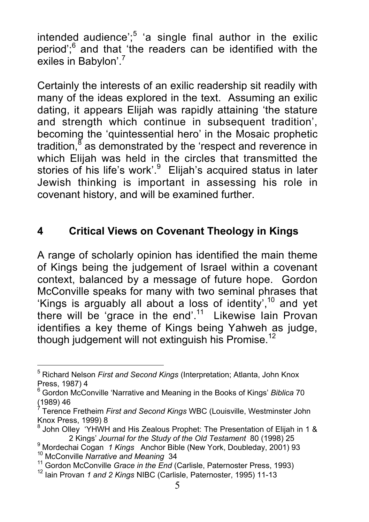intended audience'; $5$  'a single final author in the exilic period";<sup>6</sup> and that 'the readers can be identified with the exiles in Babylon'.<sup>7</sup>

Certainly the interests of an exilic readership sit readily with many of the ideas explored in the text. Assuming an exilic dating, it appears Elijah was rapidly attaining 'the stature and strength which continue in subsequent tradition', becoming the 'quintessential hero' in the Mosaic prophetic tradition, $8$  as demonstrated by the 'respect and reverence in which Elijah was held in the circles that transmitted the stories of his life's work'.<sup>9</sup> Elijah's acquired status in later Jewish thinking is important in assessing his role in covenant history, and will be examined further.

## **4 Critical Views on Covenant Theology in Kings**

A range of scholarly opinion has identified the main theme of Kings being the judgement of Israel within a covenant context, balanced by a message of future hope. Gordon McConville speaks for many with two seminal phrases that 'Kings is arguably all about a loss of identity',  $10^{\circ}$  and yet there will be 'grace in the end'.<sup>11</sup> Likewise lain Provan identifies a key theme of Kings being Yahweh as judge, though judgement will not extinguish his Promise.<sup>12</sup>

<sup>-&</sup>lt;br>5 <sup>5</sup> Richard Nelson *First and Second Kings* (Interpretation; Atlanta, John Knox Press, 1987) 4

<sup>6</sup> Gordon McConville 'Narrative and Meaning in the Books of Kings' *Biblica* 70 (1989) 46 7

Terence Fretheim *First and Second Kings* WBC (Louisville, Westminster John Knox Press, 1999) 8

 $8$  John Olley 'YHWH and His Zealous Prophet: The Presentation of Elijah in 1 & 2 Kings' *Journal for the Study of the Old Testament* 80 (1998) 25 <sup>9</sup>

<sup>&</sup>lt;sup>9</sup> Mordechai Cogan *1 Kings* Anchor Bible (New York, Doubleday, 2001) 93 <sup>10</sup> McConville *Narrative and Meaning* 34

<sup>&</sup>lt;sup>11</sup> Gordon McConville *Grace in the End* (Carlisle, Paternoster Press, 1993)

<sup>&</sup>lt;sup>12</sup> Iain Provan 1 and 2 Kings NIBC (Carlisle, Paternoster, 1995) 11-13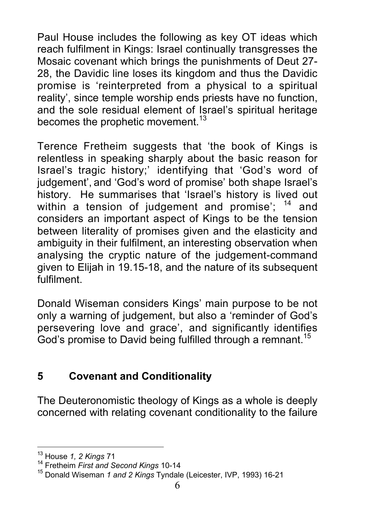Paul House includes the following as key OT ideas which reach fulfilment in Kings: Israel continually transgresses the Mosaic covenant which brings the punishments of Deut 27- 28, the Davidic line loses its kingdom and thus the Davidic promise is 'reinterpreted from a physical to a spiritual reality', since temple worship ends priests have no function, and the sole residual element of Israel's spiritual heritage becomes the prophetic movement.<sup>13</sup>

Terence Fretheim suggests that 'the book of Kings is relentless in speaking sharply about the basic reason for Israel's tragic history;' identifying that 'God's word of judgement', and 'God's word of promise' both shape Israel's history. He summarises that 'Israel's history is lived out within a tension of judgement and promise';  $14$  and considers an important aspect of Kings to be the tension between literality of promises given and the elasticity and ambiguity in their fulfilment, an interesting observation when analysing the cryptic nature of the judgement-command given to Elijah in 19.15-18, and the nature of its subsequent fulfilment.

Donald Wiseman considers Kings' main purpose to be not only a warning of judgement, but also a 'reminder of God's persevering love and grace', and significantly identifies God's promise to David being fulfilled through a remnant.<sup>15</sup>

## **5 Covenant and Conditionality**

The Deuteronomistic theology of Kings as a whole is deeply concerned with relating covenant conditionality to the failure

13 <sup>13</sup> House *1, 2 Kings* 71<br><sup>14</sup> Eretheim First and S

<sup>&</sup>lt;sup>14</sup> Fretheim *First and Second Kings* 10-14<br><sup>15</sup> Danald Wissman 1 and 2 Kings Tundal

<sup>&</sup>lt;sup>15</sup> Donald Wiseman 1 and 2 Kings Tyndale (Leicester, IVP, 1993) 16-21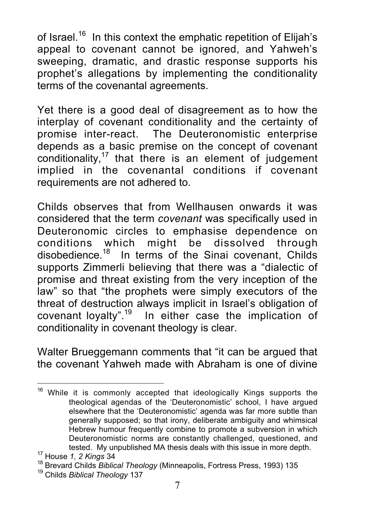of Israel.<sup>16</sup> In this context the emphatic repetition of Elijah's appeal to covenant cannot be ignored, and Yahweh's sweeping, dramatic, and drastic response supports his prophet's allegations by implementing the conditionality terms of the covenantal agreements.

Yet there is a good deal of disagreement as to how the interplay of covenant conditionality and the certainty of promise inter-react. The Deuteronomistic enterprise depends as a basic premise on the concept of covenant conditionality, $17$  that there is an element of judgement implied in the covenantal conditions if covenant requirements are not adhered to.

Childs observes that from Wellhausen onwards it was considered that the term *covenant* was specifically used in Deuteronomic circles to emphasise dependence on conditions which might be dissolved through disobedience.<sup>18</sup> In terms of the Sinai covenant, Childs supports Zimmerli believing that there was a "dialectic of promise and threat existing from the very inception of the law" so that "the prophets were simply executors of the threat of destruction always implicit in Israel's obligation of covenant loyalty".<sup>19</sup> In either case the implication of conditionality in covenant theology is clear.

Walter Brueggemann comments that "it can be argued that the covenant Yahweh made with Abraham is one of divine

 $16$  While it is commonly accepted that ideologically Kings supports the theological agendas of the 'Deuteronomistic' school, I have argued elsewhere that the 'Deuteronomistic' agenda was far more subtle than generally supposed; so that irony, deliberate ambiguity and whimsical Hebrew humour frequently combine to promote a subversion in which Deuteronomistic norms are constantly challenged, questioned, and tested. My unpublished MA thesis deals with this issue in more depth.

<sup>&</sup>lt;sup>17</sup> House 1, 2 Kings 34

<sup>&</sup>lt;sup>18</sup> Brevard Childs *Biblical Theology* (Minneapolis, Fortress Press, 1993) 135

Childs *Biblical Theology* 137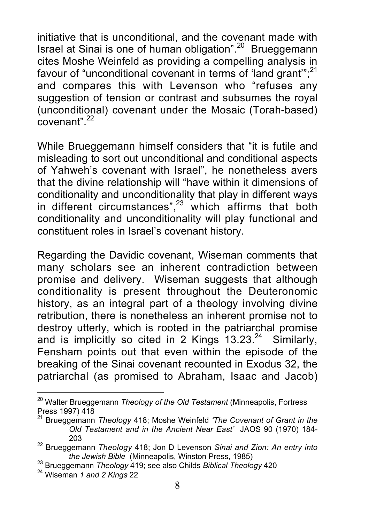initiative that is unconditional, and the covenant made with Israel at Sinai is one of human obligation".<sup>20</sup> Brueggemann cites Moshe Weinfeld as providing a compelling analysis in favour of "unconditional covenant in terms of 'land grant'";<sup>21</sup> and compares this with Levenson who "refuses any suggestion of tension or contrast and subsumes the royal (unconditional) covenant under the Mosaic (Torah-based)  $\overline{c}$ covenant".  $^{22}$ 

While Brueggemann himself considers that "it is futile and misleading to sort out unconditional and conditional aspects of Yahweh's covenant with Israel", he nonetheless avers that the divine relationship will "have within it dimensions of conditionality and unconditionality that play in different ways in different circumstances", $23$  which affirms that both conditionality and unconditionality will play functional and constituent roles in Israel's covenant history.

Regarding the Davidic covenant, Wiseman comments that many scholars see an inherent contradiction between promise and delivery. Wiseman suggests that although conditionality is present throughout the Deuteronomic history, as an integral part of a theology involving divine retribution, there is nonetheless an inherent promise not to destroy utterly, which is rooted in the patriarchal promise and is implicitly so cited in 2 Kings  $13.23^{24}$  Similarly, Fensham points out that even within the episode of the breaking of the Sinai covenant recounted in Exodus 32, the patriarchal (as promised to Abraham, Isaac and Jacob)

20 Walter Brueggemann *Theology of the Old Testament* (Minneapolis, Fortress Press 1997) 418

<sup>21</sup> Brueggemann *Theology* 418; Moshe Weinfeld *'The Covenant of Grant in the Old Testament and in the Ancient Near East'* JAOS 90 (1970) 184- <sup>203</sup> <sup>22</sup> Brueggemann *Theology* 418; Jon D Levenson *Sinai and Zion: An entry into*

*the Jewish Bible* (Minneapolis, Winston Press, 1985)<br><sup>23</sup> Prussesmann Theology 440; see also Childe Ribliash Theolo

<sup>&</sup>lt;sup>23</sup> Brueggemann *Theology* 419; see also Childs *Biblical Theology* 420<br><sup>24</sup> Wiesman 1 and 2 Kinss 22

Wiseman *1 and 2 Kings* 22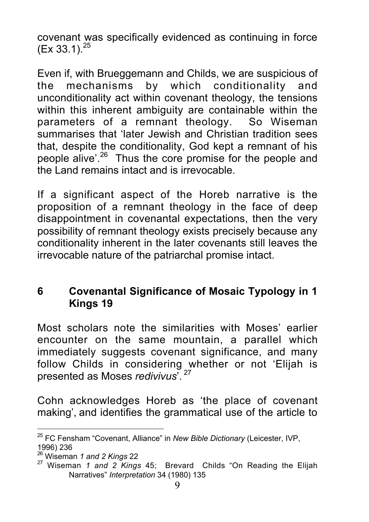covenant was specifically evidenced as continuing in force  $(Ex 33.1)^{25}$ 

Even if, with Brueggemann and Childs, we are suspicious of the mechanisms by which conditionality and unconditionality act within covenant theology, the tensions within this inherent ambiguity are containable within the parameters of a remnant theology. So Wiseman summarises that 'later Jewish and Christian tradition sees that, despite the conditionality, God kept a remnant of his people alive'.<sup>26</sup> Thus the core promise for the people and the Land remains intact and is irrevocable.

If a significant aspect of the Horeb narrative is the proposition of a remnant theology in the face of deep disappointment in covenantal expectations, then the very possibility of remnant theology exists precisely because any conditionality inherent in the later covenants still leaves the irrevocable nature of the patriarchal promise intact.

### **6 Covenantal Significance of Mosaic Typology in 1 Kings 19**

Most scholars note the similarities with Moses' earlier encounter on the same mountain, a parallel which immediately suggests covenant significance, and many follow Childs in considering whether or not 'Elijah is presented as Moses *redivivus*'. <sup>27</sup>

Cohn acknowledges Horeb as 'the place of covenant making', and identifies the grammatical use of the article to

25 FC Fensham "Covenant, Alliance" in *New Bible Dictionary* (Leicester, IVP, 1996) 236

<sup>&</sup>lt;sup>26</sup> Wiseman 1 and 2 Kings 22<br><sup>27</sup> Wiseman 1 and 2 Kings 45; Brevard Childs "On Reading the Elijah Narratives" *Interpretation* 34 (1980) 135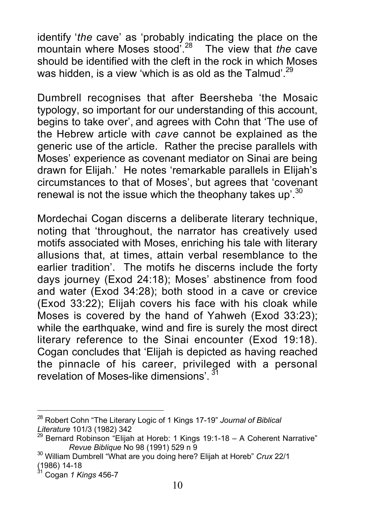identify '*the* cave' as 'probably indicating the place on the mountain where Moses stood'.<sup>28</sup> The view that *the* cave should be identified with the cleft in the rock in which Moses was hidden, is a view 'which is as old as the Talmud'.<sup>29</sup>

Dumbrell recognises that after Beersheba 'the Mosaic typology, so important for our understanding of this account, begins to take over', and agrees with Cohn that 'The use of the Hebrew article with *cave* cannot be explained as the generic use of the article. Rather the precise parallels with Moses' experience as covenant mediator on Sinai are being drawn for Elijah.' He notes 'remarkable parallels in Elijah's circumstances to that of Moses', but agrees that 'covenant renewal is not the issue which the theophany takes up'.<sup>30</sup>

Mordechai Cogan discerns a deliberate literary technique, noting that 'throughout, the narrator has creatively used motifs associated with Moses, enriching his tale with literary allusions that, at times, attain verbal resemblance to the earlier tradition'. The motifs he discerns include the forty days journey (Exod 24:18); Moses' abstinence from food and water (Exod 34:28); both stood in a cave or crevice (Exod 33:22); Elijah covers his face with his cloak while Moses is covered by the hand of Yahweh (Exod 33:23); while the earthquake, wind and fire is surely the most direct literary reference to the Sinai encounter (Exod 19:18). Cogan concludes that 'Elijah is depicted as having reached the pinnacle of his career, privileged with a personal revelation of Moses-like dimensions'. <sup>31</sup>

28 Robert Cohn "The Literary Logic of 1 Kings 17-19" *Journal of Biblical*

*Literature* 101/3 (1982) 342<br><sup>29</sup> Bernard Robinson "Elijah at Horeb: 1 Kings 19:1-18 – A Coherent Narrative"<br>Revue Biblique No 98 (1991) 529 n 9

*Revue Biblique* No 98 (1991) 529 n 9 <sup>30</sup> William Dumbrell "What are you doing here? Elijah at Horeb" *Crux* 22/1 (1986) 14-18 31 Cogan *1 Kings* 456-7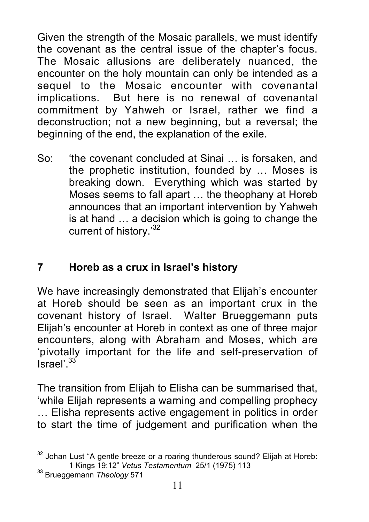Given the strength of the Mosaic parallels, we must identify the covenant as the central issue of the chapter's focus. The Mosaic allusions are deliberately nuanced, the encounter on the holy mountain can only be intended as a sequel to the Mosaic encounter with covenantal implications. But here is no renewal of covenantal commitment by Yahweh or Israel, rather we find a deconstruction; not a new beginning, but a reversal; the beginning of the end, the explanation of the exile.

So: 'the covenant concluded at Sinai … is forsaken, and the prophetic institution, founded by … Moses is breaking down. Everything which was started by Moses seems to fall apart … the theophany at Horeb announces that an important intervention by Yahweh is at hand … a decision which is going to change the current of history.<sup>32</sup>

# **7 Horeb as a crux in Israel's history**

We have increasingly demonstrated that Elijah's encounter at Horeb should be seen as an important crux in the covenant history of Israel. Walter Brueggemann puts Elijah's encounter at Horeb in context as one of three major encounters, along with Abraham and Moses, which are 'pivotally important for the life and self-preservation of  $\Gamma$ Israel'.  $33$ 

The transition from Elijah to Elisha can be summarised that, 'while Elijah represents a warning and compelling prophecy … Elisha represents active engagement in politics in order to start the time of judgement and purification when the

<sup>&</sup>lt;sup>32</sup> Johan Lust "A gentle breeze or a roaring thunderous sound? Elijah at Horeb: 1 Kings 19:12" *Vetus Testamentum* 25/1 (1975) 113 <sup>33</sup>

Brueggemann *Theology* 571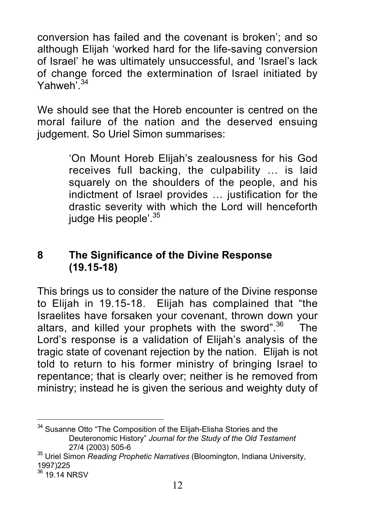conversion has failed and the covenant is broken'; and so although Elijah 'worked hard for the life-saving conversion of Israel' he was ultimately unsuccessful, and 'Israel's lack of change forced the extermination of Israel initiated by Yahweh<sup>'34</sup>

We should see that the Horeb encounter is centred on the moral failure of the nation and the deserved ensuing judgement. So Uriel Simon summarises:

> 'On Mount Horeb Elijah's zealousness for his God receives full backing, the culpability … is laid squarely on the shoulders of the people, and his indictment of Israel provides … justification for the drastic severity with which the Lord will henceforth judge His people'.<sup>35</sup>

### **8 The Significance of the Divine Response (19.15-18)**

This brings us to consider the nature of the Divine response to Elijah in 19.15-18. Elijah has complained that "the Israelites have forsaken your covenant, thrown down your altars, and killed your prophets with the sword". $36$  The Lord's response is a validation of Elijah's analysis of the tragic state of covenant rejection by the nation. Elijah is not told to return to his former ministry of bringing Israel to repentance; that is clearly over; neither is he removed from ministry; instead he is given the serious and weighty duty of

34 Susanne Otto "The Composition of the Elijah-Elisha Stories and the Deuteronomic History" *Journal for the Study of the Old Testament* 27/4 (2003) 505-6 <sup>35</sup> Uriel Simon *Reading Prophetic Narratives* (Bloomington, Indiana University,

<sup>1997)225</sup>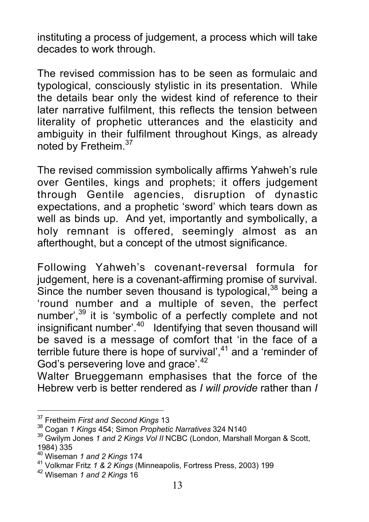instituting a process of judgement, a process which will take decades to work through.

The revised commission has to be seen as formulaic and typological, consciously stylistic in its presentation. While the details bear only the widest kind of reference to their later narrative fulfilment, this reflects the tension between literality of prophetic utterances and the elasticity and ambiguity in their fulfilment throughout Kings, as already noted by Fretheim.<sup>37</sup>

The revised commission symbolically affirms Yahweh's rule over Gentiles, kings and prophets; it offers judgement through Gentile agencies, disruption of dynastic expectations, and a prophetic 'sword' which tears down as well as binds up. And yet, importantly and symbolically, a holy remnant is offered, seemingly almost as an afterthought, but a concept of the utmost significance.

Following Yahweh's covenant-reversal formula for judgement, here is a covenant-affirming promise of survival. Since the number seven thousand is typological,<sup>38</sup> being a 'round number and a multiple of seven, the perfect number',<sup>39</sup> it is 'symbolic of a perfectly complete and not insignificant number'.<sup>40</sup> Identifying that seven thousand will be saved is a message of comfort that 'in the face of a terrible future there is hope of survival', $41$  and a 'reminder of God's persevering love and grace'.<sup>42</sup>

Walter Brueggemann emphasises that the force of the Hebrew verb is better rendered as *I will provide* rather than *I*

<sup>--&</sup>lt;br>37 <sup>3</sup>' Fretheim *First and Second Kings* 13<br><sup>38</sup> Cease *1 Kings 1*54: Simon Branheti

<sup>&</sup>lt;sup>38</sup> Cogan 1 Kings 454; Simon *Prophetic Narratives* 324 N140

Gwilym Jones *1 and 2 Kings Vol II* NCBC (London, Marshall Morgan & Scott, 1984) 335<br><sup>40</sup> Winama

<sup>&</sup>lt;sup>40</sup> Wiseman *1 and 2 Kings* 174<br><sup>41</sup> Volkmar Fritz *1.* 8. 2 Kings (N

Volkmar Fritz *1 & 2 Kings* (Minneapolis, Fortress Press, 2003) 199 <sup>42</sup>

Wiseman *1 and 2 Kings* 16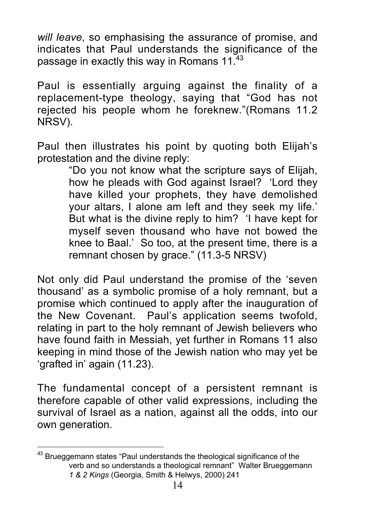*will leave*, so emphasising the assurance of promise, and indicates that Paul understands the significance of the passage in exactly this way in Romans 11.<sup>43</sup>

Paul is essentially arguing against the finality of a replacement-type theology, saying that "God has not rejected his people whom he foreknew."(Romans 11.2 NRSV).

Paul then illustrates his point by quoting both Elijah's protestation and the divine reply:

"Do you not know what the scripture says of Elijah, how he pleads with God against Israel? 'Lord they have killed your prophets, they have demolished your altars, I alone am left and they seek my life.' But what is the divine reply to him? 'I have kept for myself seven thousand who have not bowed the knee to Baal.' So too, at the present time, there is a remnant chosen by grace." (11.3-5 NRSV)

Not only did Paul understand the promise of the 'seven thousand' as a symbolic promise of a holy remnant, but a promise which continued to apply after the inauguration of the New Covenant. Paul's application seems twofold, relating in part to the holy remnant of Jewish believers who have found faith in Messiah, yet further in Romans 11 also keeping in mind those of the Jewish nation who may yet be 'grafted in' again (11.23).

The fundamental concept of a persistent remnant is therefore capable of other valid expressions, including the survival of Israel as a nation, against all the odds, into our own generation.

43 Brueggemann states "Paul understands the theological significance of the verb and so understands a theological remnant" Walter Brueggemann *1 & 2 Kings* (Georgia, Smith & Helwys, 2000) 241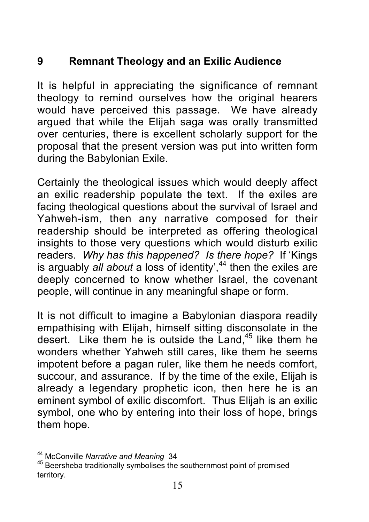# **9 Remnant Theology and an Exilic Audience**

It is helpful in appreciating the significance of remnant theology to remind ourselves how the original hearers would have perceived this passage. We have already argued that while the Elijah saga was orally transmitted over centuries, there is excellent scholarly support for the proposal that the present version was put into written form during the Babylonian Exile.

Certainly the theological issues which would deeply affect an exilic readership populate the text. If the exiles are facing theological questions about the survival of Israel and Yahweh-ism, then any narrative composed for their readership should be interpreted as offering theological insights to those very questions which would disturb exilic readers. *Why has this happened? Is there hope?* If 'Kings is arguably *all about* a loss of identity<sup>',44</sup> then the exiles are deeply concerned to know whether Israel, the covenant people, will continue in any meaningful shape or form.

It is not difficult to imagine a Babylonian diaspora readily empathising with Elijah, himself sitting disconsolate in the desert. Like them he is outside the Land.<sup>45</sup> like them he wonders whether Yahweh still cares, like them he seems impotent before a pagan ruler, like them he needs comfort, succour, and assurance. If by the time of the exile, Elijah is already a legendary prophetic icon, then here he is an eminent symbol of exilic discomfort. Thus Elijah is an exilic symbol, one who by entering into their loss of hope, brings them hope.

<sup>-&</sup>lt;br>44

<sup>&</sup>lt;sup>44</sup> McConville *Narrative and Meaning* 34<br><sup>45</sup> Beersheba traditionally symbolises the southernmost point of promised territory.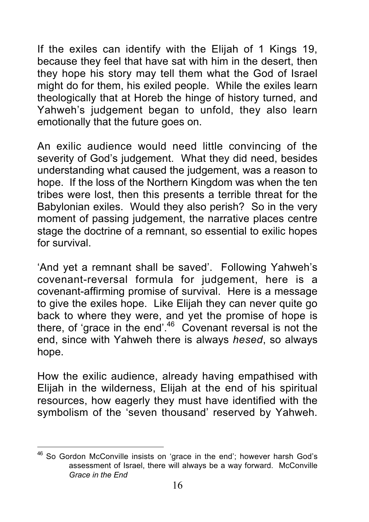If the exiles can identify with the Elijah of 1 Kings 19, because they feel that have sat with him in the desert, then they hope his story may tell them what the God of Israel might do for them, his exiled people. While the exiles learn theologically that at Horeb the hinge of history turned, and Yahweh's judgement began to unfold, they also learn emotionally that the future goes on.

An exilic audience would need little convincing of the severity of God's judgement. What they did need, besides understanding what caused the judgement, was a reason to hope. If the loss of the Northern Kingdom was when the ten tribes were lost, then this presents a terrible threat for the Babylonian exiles. Would they also perish? So in the very moment of passing judgement, the narrative places centre stage the doctrine of a remnant, so essential to exilic hopes for survival.

'And yet a remnant shall be saved'. Following Yahweh's covenant-reversal formula for judgement, here is a covenant-affirming promise of survival. Here is a message to give the exiles hope. Like Elijah they can never quite go back to where they were, and yet the promise of hope is there, of 'grace in the end'.<sup>46</sup> Covenant reversal is not the end, since with Yahweh there is always *hesed*, so always hope.

How the exilic audience, already having empathised with Elijah in the wilderness, Elijah at the end of his spiritual resources, how eagerly they must have identified with the symbolism of the 'seven thousand' reserved by Yahweh.

So Gordon McConville insists on 'grace in the end'; however harsh God's assessment of Israel, there will always be a way forward. McConville *Grace in the End*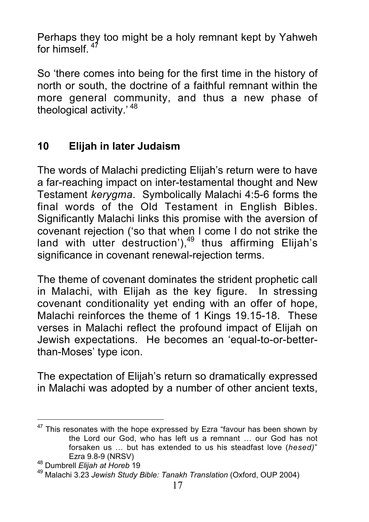Perhaps they too might be a holy remnant kept by Yahweh for himself.

So 'there comes into being for the first time in the history of north or south, the doctrine of a faithful remnant within the more general community, and thus a new phase of theological activity.' <sup>48</sup>

## **10 Elijah in later Judaism**

The words of Malachi predicting Elijah's return were to have a far-reaching impact on inter-testamental thought and New Testament *kerygma*. Symbolically Malachi 4:5-6 forms the final words of the Old Testament in English Bibles. Significantly Malachi links this promise with the aversion of covenant rejection ('so that when I come I do not strike the land with utter destruction'),<sup>49</sup> thus affirming Elijah's significance in covenant renewal-rejection terms.

The theme of covenant dominates the strident prophetic call in Malachi, with Elijah as the key figure. In stressing covenant conditionality yet ending with an offer of hope, Malachi reinforces the theme of 1 Kings 19.15-18. These verses in Malachi reflect the profound impact of Elijah on Jewish expectations. He becomes an 'equal-to-or-betterthan-Moses' type icon.

The expectation of Elijah's return so dramatically expressed in Malachi was adopted by a number of other ancient texts,

 $47$  This resonates with the hope expressed by Ezra "favour has been shown by the Lord our God, who has left us a remnant … our God has not forsaken us … but has extended to us his steadfast love (*hesed)*" Ezra 9.8-9 (NRSV)<br><sup>48</sup> Dumbrell *Elijoh* et Harab

Dumbrell *Elijah at Horeb* <sup>19</sup> <sup>49</sup>

Malachi 3.23 *Jewish Study Bible: Tanakh Translation* (Oxford, OUP 2004)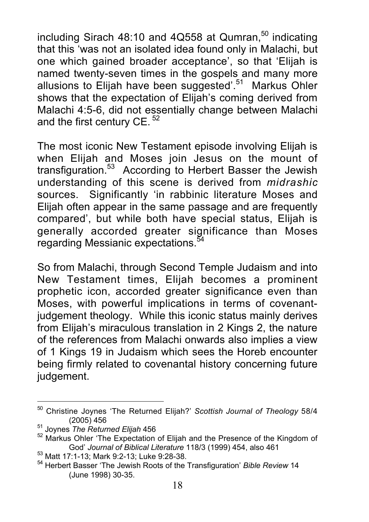including Sirach  $48:10$  and  $4Q558$  at Qumran,<sup>50</sup> indicating that this 'was not an isolated idea found only in Malachi, but one which gained broader acceptance', so that 'Elijah is named twenty-seven times in the gospels and many more allusions to Elijah have been suggested'.<sup>51</sup> Markus Ohler shows that the expectation of Elijah's coming derived from Malachi 4:5-6, did not essentially change between Malachi and the first century CE.<sup>52</sup>

The most iconic New Testament episode involving Elijah is when Elijah and Moses join Jesus on the mount of transfiguration.<sup>53</sup> According to Herbert Basser the Jewish understanding of this scene is derived from *midrashic* sources. Significantly 'in rabbinic literature Moses and Elijah often appear in the same passage and are frequently compared', but while both have special status, Elijah is generally accorded greater significance than Moses regarding Messianic expectations.<sup>54</sup>

So from Malachi, through Second Temple Judaism and into New Testament times, Elijah becomes a prominent prophetic icon, accorded greater significance even than Moses, with powerful implications in terms of covenantjudgement theology. While this iconic status mainly derives from Elijah's miraculous translation in 2 Kings 2, the nature of the references from Malachi onwards also implies a view of 1 Kings 19 in Judaism which sees the Horeb encounter being firmly related to covenantal history concerning future judgement.

<sup>50</sup> Christine Joynes 'The Returned Elijah?' *Scottish Journal of Theology* 58/4 (2005) 456<br><sup>51</sup> Joynes *The Returned Elijah* 456

<sup>&</sup>lt;sup>52</sup> Markus Ohler 'The Expectation of Elijah and the Presence of the Kingdom of God' Journal of Biblical Literature 118/3 (1999) 454, also 461

<sup>53</sup> Matt 17:1-13; Mark 9:2-13; Luke 9:28-38.

<sup>&</sup>lt;sup>54</sup> Herbert Basser 'The Jewish Roots of the Transfiguration' *Bible Review* 14 (June 1998) 30-35.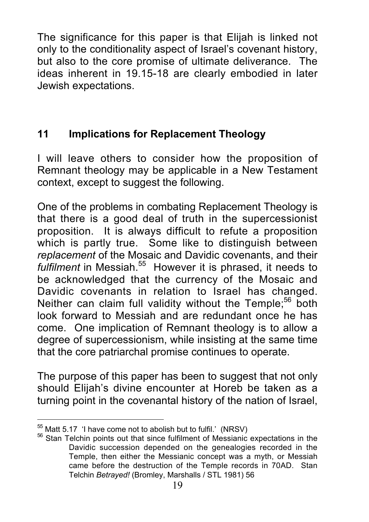The significance for this paper is that Elijah is linked not only to the conditionality aspect of Israel's covenant history, but also to the core promise of ultimate deliverance. The ideas inherent in 19.15-18 are clearly embodied in later Jewish expectations.

# **11 Implications for Replacement Theology**

I will leave others to consider how the proposition of Remnant theology may be applicable in a New Testament context, except to suggest the following.

One of the problems in combating Replacement Theology is that there is a good deal of truth in the supercessionist proposition. It is always difficult to refute a proposition which is partly true. Some like to distinguish between *replacement* of the Mosaic and Davidic covenants, and their fulfilment in Messiah.<sup>55</sup> However it is phrased, it needs to be acknowledged that the currency of the Mosaic and Davidic covenants in relation to Israel has changed. Neither can claim full validity without the Temple: $56$  both look forward to Messiah and are redundant once he has come. One implication of Remnant theology is to allow a degree of supercessionism, while insisting at the same time that the core patriarchal promise continues to operate.

The purpose of this paper has been to suggest that not only should Elijah's divine encounter at Horeb be taken as a turning point in the covenantal history of the nation of Israel,

<sup>&</sup>lt;sup>55</sup> Matt 5.17 'I have come not to abolish but to fulfil.' (NRSV)

 $56$  Stan Telchin points out that since fulfilment of Messianic expectations in the Davidic succession depended on the genealogies recorded in the Temple, then either the Messianic concept was a myth, or Messiah came before the destruction of the Temple records in 70AD. Stan Telchin *Betrayed!* (Bromley, Marshalls / STL 1981) 56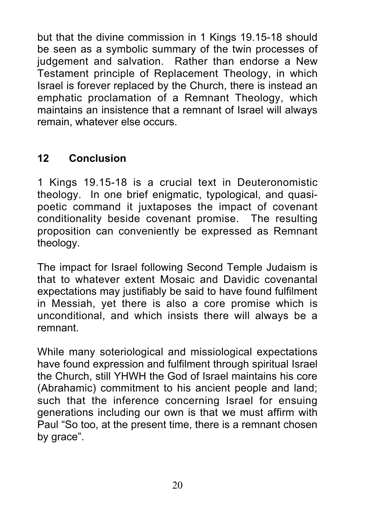but that the divine commission in 1 Kings 19.15-18 should be seen as a symbolic summary of the twin processes of judgement and salvation. Rather than endorse a New Testament principle of Replacement Theology, in which Israel is forever replaced by the Church, there is instead an emphatic proclamation of a Remnant Theology, which maintains an insistence that a remnant of Israel will always remain, whatever else occurs.

## **12 Conclusion**

1 Kings 19.15-18 is a crucial text in Deuteronomistic theology. In one brief enigmatic, typological, and quasipoetic command it juxtaposes the impact of covenant conditionality beside covenant promise. The resulting proposition can conveniently be expressed as Remnant theology.

The impact for Israel following Second Temple Judaism is that to whatever extent Mosaic and Davidic covenantal expectations may justifiably be said to have found fulfilment in Messiah, yet there is also a core promise which is unconditional, and which insists there will always be a remnant.

While many soteriological and missiological expectations have found expression and fulfilment through spiritual Israel the Church, still YHWH the God of Israel maintains his core (Abrahamic) commitment to his ancient people and land; such that the inference concerning Israel for ensuing generations including our own is that we must affirm with Paul "So too, at the present time, there is a remnant chosen by grace".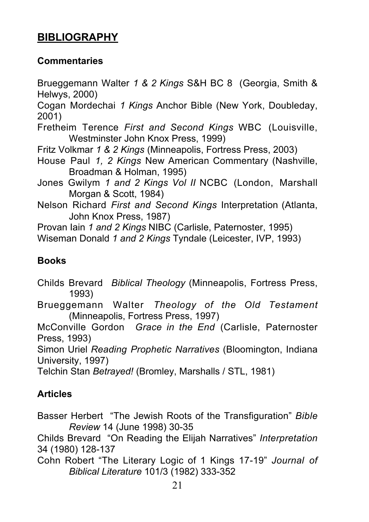# **BIBLIOGRAPHY**

#### **Commentaries**

Brueggemann Walter *1 & 2 Kings* S&H BC 8 (Georgia, Smith & Helwys, 2000)

Cogan Mordechai *1 Kings* Anchor Bible (New York, Doubleday, 2001)

Fretheim Terence *First and Second Kings* WBC (Louisville, Westminster John Knox Press, 1999)

Fritz Volkmar *1 & 2 Kings* (Minneapolis, Fortress Press, 2003)

- House Paul *1, 2 Kings* New American Commentary (Nashville, Broadman & Holman, 1995)
- Jones Gwilym *1 and 2 Kings Vol II* NCBC (London, Marshall Morgan & Scott, 1984)
- Nelson Richard *First and Second Kings* Interpretation (Atlanta, John Knox Press, 1987)

Provan Iain *1 and 2 Kings* NIBC (Carlisle, Paternoster, 1995)

Wiseman Donald *1 and 2 Kings* Tyndale (Leicester, IVP, 1993)

#### **Books**

Childs Brevard *Biblical Theology* (Minneapolis, Fortress Press, 1993)

Brueggemann Walter *Theology of the Old Testament* (Minneapolis, Fortress Press, 1997)

McConville Gordon *Grace in the End* (Carlisle, Paternoster Press, 1993)

Simon Uriel *Reading Prophetic Narratives* (Bloomington, Indiana University, 1997)

Telchin Stan *Betrayed!* (Bromley, Marshalls / STL, 1981)

#### **Articles**

Basser Herbert "The Jewish Roots of the Transfiguration" *Bible Review* 14 (June 1998) 30-35

Childs Brevard "On Reading the Elijah Narratives" *Interpretation* 34 (1980) 128-137

Cohn Robert "The Literary Logic of 1 Kings 17-19" *Journal of Biblical Literature* 101/3 (1982) 333-352